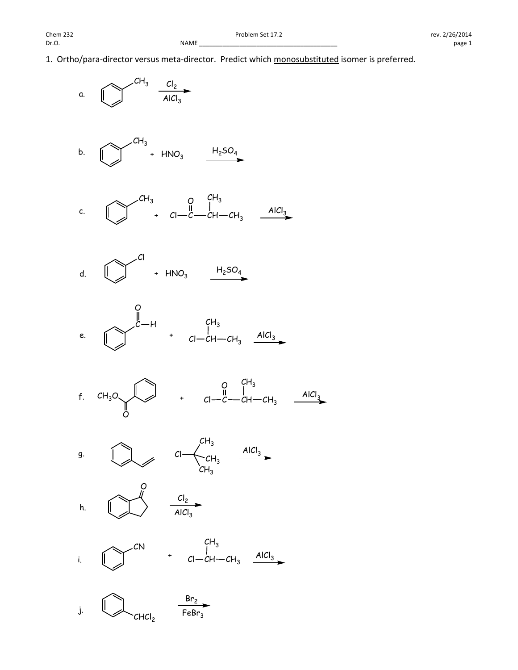1. Ortho/para-director versus meta-director. Predict which monosubstituted isomer is preferred.